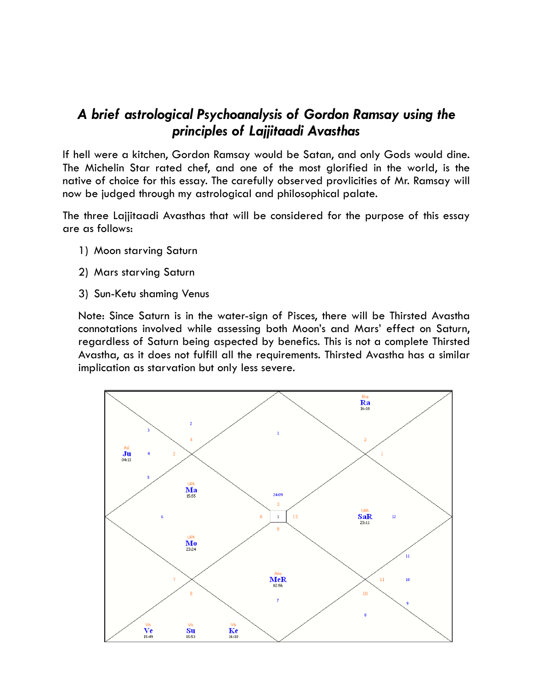# *A brief astrological Psychoanalysis of Gordon Ramsay using the principles of Lajjitaadi Avasthas*

If hell were a kitchen, Gordon Ramsay would be Satan, and only Gods would dine. The Michelin Star rated chef, and one of the most glorified in the world, is the native of choice for this essay. The carefully observed provlicities of Mr. Ramsay will now be judged through my astrological and philosophical palate.

The three Lajjitaadi Avasthas that will be considered for the purpose of this essay are as follows:

- 1) Moon starving Saturn
- 2) Mars starving Saturn
- 3) Sun-Ketu shaming Venus

Note: Since Saturn is in the water-sign of Pisces, there will be Thirsted Avastha connotations involved while assessing both Moon's and Mars' effect on Saturn, regardless of Saturn being aspected by benefics. This is not a complete Thirsted Avastha, as it does not fulfill all the requirements. Thirsted Avastha has a similar implication as starvation but only less severe.

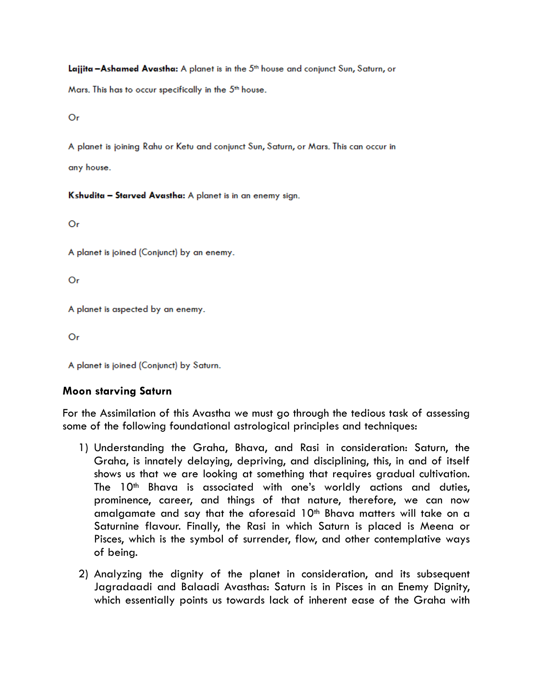Laijita - Ashamed Avastha: A planet is in the 5th house and conjunct Sun, Saturn, or

Mars. This has to occur specifically in the 5<sup>th</sup> house.

Or

A planet is joining Rahu or Ketu and conjunct Sun, Saturn, or Mars. This can occur in

any house.

Kshudita - Starved Avastha: A planet is in an enemy sign.

Or

A planet is joined (Conjunct) by an enemy.

Or

A planet is aspected by an enemy.

Or

A planet is joined (Conjunct) by Saturn.

# **Moon starving Saturn**

For the Assimilation of this Avastha we must go through the tedious task of assessing some of the following foundational astrological principles and techniques:

- 1) Understanding the Graha, Bhava, and Rasi in consideration: Saturn, the Graha, is innately delaying, depriving, and disciplining, this, in and of itself shows us that we are looking at something that requires gradual cultivation. The  $10<sup>th</sup>$  Bhava is associated with one's worldly actions and duties, prominence, career, and things of that nature, therefore, we can now amalgamate and say that the aforesaid  $10<sup>th</sup>$  Bhava matters will take on a Saturnine flavour. Finally, the Rasi in which Saturn is placed is Meena or Pisces, which is the symbol of surrender, flow, and other contemplative ways of being.
- 2) Analyzing the dignity of the planet in consideration, and its subsequent Jagradaadi and Balaadi Avasthas: Saturn is in Pisces in an Enemy Dignity, which essentially points us towards lack of inherent ease of the Graha with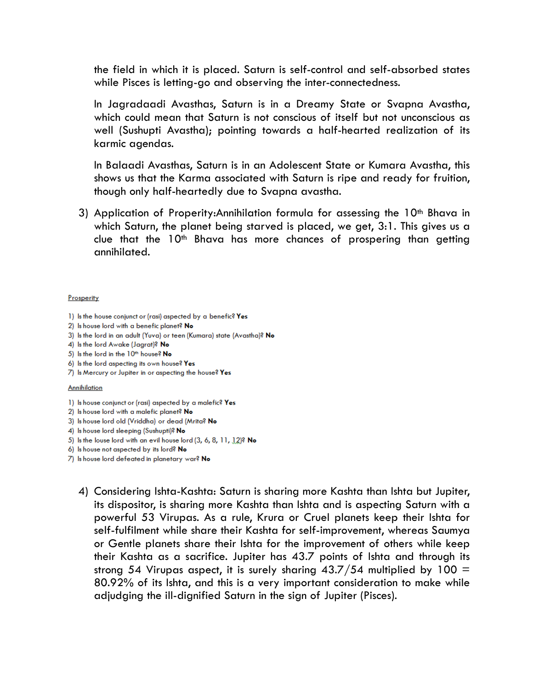the field in which it is placed. Saturn is self-control and self-absorbed states while Pisces is letting-go and observing the inter-connectedness.

In Jagradaadi Avasthas, Saturn is in a Dreamy State or Svapna Avastha, which could mean that Saturn is not conscious of itself but not unconscious as well (Sushupti Avastha); pointing towards a half-hearted realization of its karmic agendas.

In Balaadi Avasthas, Saturn is in an Adolescent State or Kumara Avastha, this shows us that the Karma associated with Saturn is ripe and ready for fruition, though only half-heartedly due to Svapna avastha.

3) Application of Properity:Annihilation formula for assessing the  $10<sup>th</sup>$  Bhava in which Saturn, the planet being starved is placed, we get, 3:1. This gives us a clue that the  $10<sup>th</sup>$  Bhava has more chances of prospering than getting annihilated.

#### Prosperity

- 1) Is the house conjunct or (rasi) aspected by a benefic? Yes
- 2) Is house lord with a benefic planet? No
- 3) Is the lord in an adult (Yuva) or teen (Kumara) state (Avastha)? No
- 4) Is the lord Awake (Jagrat)? No
- 5) Is the lord in the 10<sup>th</sup> house? No
- 6) Is the lord aspecting its own house? Yes
- 7) Is Mercury or Jupiter in or aspecting the house? Yes

#### Annihilation

- 1) Is house conjunct or (rasi) aspected by a malefic? Yes
- 2) Is house lord with a malefic planet? No
- 3) Is house lord old (Vriddha) or dead (Mrita? No
- 4) Is house lord sleeping (Sushupti)? No
- 5) Is the louse lord with an evil house lord (3, 6, 8, 11, 12)? No
- 6) Is house not aspected by its lord? No
- 7) Is house lord defeated in planetary war? No
	- 4) Considering Ishta-Kashta: Saturn is sharing more Kashta than Ishta but Jupiter, its dispositor, is sharing more Kashta than Ishta and is aspecting Saturn with a powerful 53 Virupas. As a rule, Krura or Cruel planets keep their Ishta for self-fulfilment while share their Kashta for self-improvement, whereas Saumya or Gentle planets share their Ishta for the improvement of others while keep their Kashta as a sacrifice. Jupiter has 43.7 points of Ishta and through its strong 54 Virupas aspect, it is surely sharing  $43.7/54$  multiplied by 100 = 80.92% of its Ishta, and this is a very important consideration to make while adjudging the ill-dignified Saturn in the sign of Jupiter (Pisces).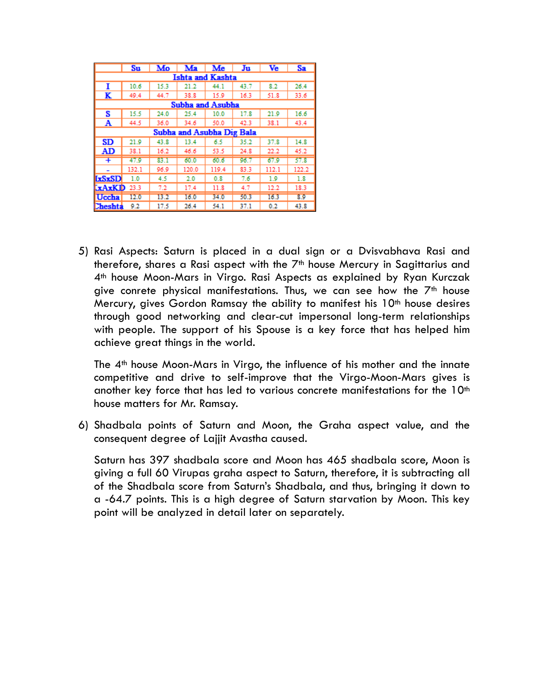|                           | Su    | Mo   | Ma    | Me    | Ju   | Ve    | Sa    |  |
|---------------------------|-------|------|-------|-------|------|-------|-------|--|
| <b>Ishta and Kashta</b>   |       |      |       |       |      |       |       |  |
| T                         | 10.6  | 15.3 | 21.2  | 44.1  | 43.7 | 8.2   | 26.4  |  |
| K                         | 49.4  | 44.7 | 38.8  | 15.9  | 16.3 | 51.8  | 33.6  |  |
| Subha and Asubha          |       |      |       |       |      |       |       |  |
| s                         | 15.5  | 24.0 | 25.4  | 10.0  | 17.8 | 21.9  | 16.6  |  |
| $\mathbf{A}$              | 44.5  | 36.0 | 34.6  | 50.0  | 42.3 | 38.1  | 43.4  |  |
| Subha and Asubha Dig Bala |       |      |       |       |      |       |       |  |
| <b>SD</b>                 | 21.9  | 43.8 | 13.4  | 6.5   | 35.2 | 37.8  | 14.8  |  |
| AD                        | 38.1  | 16.2 | 46.6  | 53.5  | 24.8 | 22.2  | 45.2  |  |
| Ŧ                         | 47.9  | 83.1 | 60.0  | 60.6  | 96.7 | 67.9  | 57.8  |  |
|                           | 132.1 | 96.9 | 120.0 | 119.4 | 83.3 | 112.1 | 122.2 |  |
| <b>ExSxSD</b>             | 1.0   | 4.5  | 2.0   | 0.8   | 7.6  | 1.9   | 1.8   |  |
| $xAxKD 23.3$              |       | 7.2  | 17.4  | 11.8  | 4.7  | 12.2  | 18.3  |  |
| <b>Uccha</b>              | 12.0  | 13.2 | 16.0  | 34.0  | 50.3 | 16.3  | 8.9   |  |
| Cheshta                   | 9.2   | 17.5 | 26.4  | 54.1  | 37.1 | 0.2   | 43.8  |  |

5) Rasi Aspects: Saturn is placed in a dual sign or a Dvisvabhava Rasi and therefore, shares a Rasi aspect with the 7<sup>th</sup> house Mercury in Sagittarius and 4th house Moon-Mars in Virgo. Rasi Aspects as explained by Ryan Kurczak give conrete physical manifestations. Thus, we can see how the  $7<sup>th</sup>$  house Mercury, gives Gordon Ramsay the ability to manifest his  $10<sup>th</sup>$  house desires through good networking and clear-cut impersonal long-term relationships with people. The support of his Spouse is a key force that has helped him achieve great things in the world.

The  $4<sup>th</sup>$  house Moon-Mars in Virgo, the influence of his mother and the innate competitive and drive to self-improve that the Virgo-Moon-Mars gives is another key force that has led to various concrete manifestations for the 10<sup>th</sup> house matters for Mr. Ramsay.

6) Shadbala points of Saturn and Moon, the Graha aspect value, and the consequent degree of Lajjit Avastha caused.

Saturn has 397 shadbala score and Moon has 465 shadbala score, Moon is giving a full 60 Virupas graha aspect to Saturn, therefore, it is subtracting all of the Shadbala score from Saturn's Shadbala, and thus, bringing it down to a -64.7 points. This is a high degree of Saturn starvation by Moon. This key point will be analyzed in detail later on separately.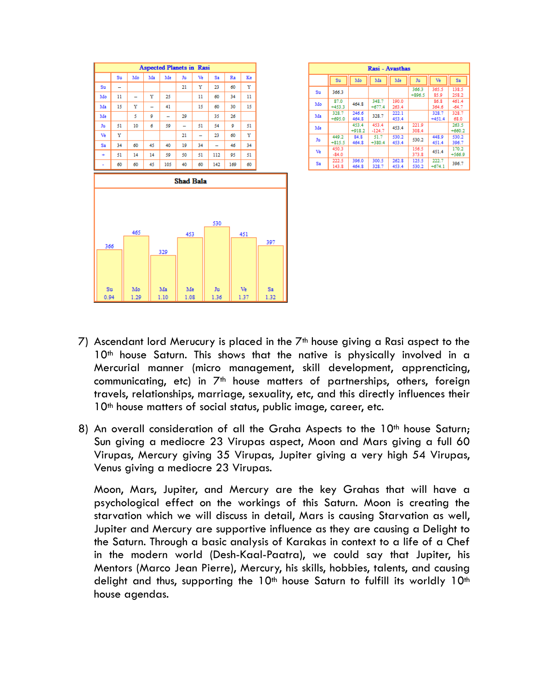

| Rasi - Avasthas |                   |                   |                   |                |                   |                   |                   |  |
|-----------------|-------------------|-------------------|-------------------|----------------|-------------------|-------------------|-------------------|--|
|                 | Su                | Mo                | Ma                | Me             | Ju                | Ve                | Sa                |  |
| Su              | 366.3             |                   |                   |                | 366.3<br>$+896.5$ | 365.5<br>85.9     | 138.5<br>258.2    |  |
| Mo              | 87.0<br>$+453.3$  | 464.8             | 348.7<br>$+677.4$ | 190.0<br>263.4 |                   | 86.8<br>364.6     | 461.4<br>$-64.7$  |  |
| Ma              | 328.7<br>$+695.0$ | 246.6<br>464.8    | 328.7             | 222.1<br>453.4 |                   | 328.7<br>$+451.4$ | 328.7<br>68.0     |  |
| Me              |                   | 453.4<br>$+918.2$ | 453.4<br>$-124.7$ | 453.4          | 221.9<br>308.4    |                   | 263.5<br>$+660.2$ |  |
| Ju              | 449.2<br>$+815.5$ | 84.8<br>464.8     | 51.7<br>$+380.4$  | 530.2<br>453.4 | 530.2             | 448.9<br>451.4    | 530.2<br>396.7    |  |
| Ve              | 450.3<br>$-84.0$  |                   |                   |                | 156.5<br>373.8    | 451.4             | 170.2<br>$+566.9$ |  |
| Sa              | 222.5<br>143.8    | 396.0<br>464.8    | 300.5<br>328.7    | 262.8<br>453.4 | 125.5<br>530.2    | 222.7<br>$+674.1$ | 396.7             |  |

- 7) Ascendant lord Merucury is placed in the  $7<sup>th</sup>$  house giving a Rasi aspect to the 10<sup>th</sup> house Saturn. This shows that the native is physically involved in a Mercurial manner (micro management, skill development, apprencticing, communicating, etc) in  $7<sup>th</sup>$  house matters of partnerships, others, foreign travels, relationships, marriage, sexuality, etc, and this directly influences their 10<sup>th</sup> house matters of social status, public image, career, etc.
- 8) An overall consideration of all the Graha Aspects to the 10<sup>th</sup> house Saturn; Sun giving a mediocre 23 Virupas aspect, Moon and Mars giving a full 60 Virupas, Mercury giving 35 Virupas, Jupiter giving a very high 54 Virupas, Venus giving a mediocre 23 Virupas.

Moon, Mars, Jupiter, and Mercury are the key Grahas that will have a psychological effect on the workings of this Saturn. Moon is creating the starvation which we will discuss in detail, Mars is causing Starvation as well, Jupiter and Mercury are supportive influence as they are causing a Delight to the Saturn. Through a basic analysis of Karakas in context to a life of a Chef in the modern world (Desh-Kaal-Paatra), we could say that Jupiter, his Mentors (Marco Jean Pierre), Mercury, his skills, hobbies, talents, and causing delight and thus, supporting the  $10<sup>th</sup>$  house Saturn to fulfill its worldly  $10<sup>th</sup>$ house agendas.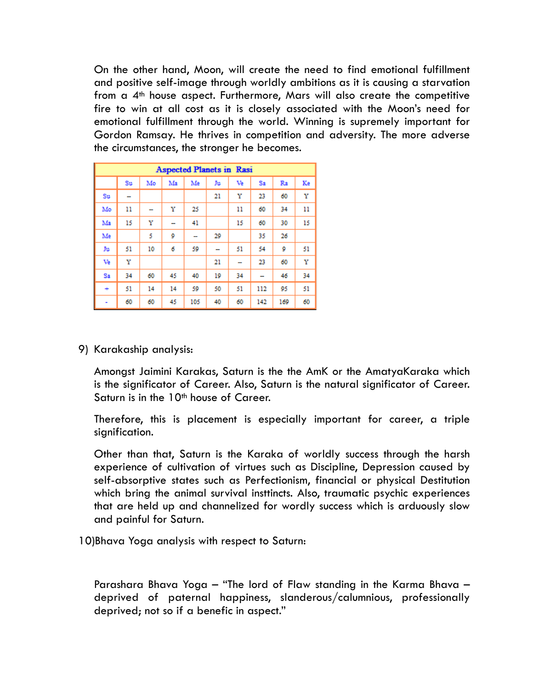On the other hand, Moon, will create the need to find emotional fulfillment and positive self-image through worldly ambitions as it is causing a starvation from a 4th house aspect. Furthermore, Mars will also create the competitive fire to win at all cost as it is closely associated with the Moon's need for emotional fulfillment through the world. Winning is supremely important for Gordon Ramsay. He thrives in competition and adversity. The more adverse the circumstances, the stronger he becomes.

| <b>Aspected Planets in Rasi</b> |    |    |    |     |    |    |     |     |    |
|---------------------------------|----|----|----|-----|----|----|-----|-----|----|
|                                 | Su | Mo | Ma | Me  | Ju | Ve | Sa  | Ra  | Ke |
| Su                              |    |    |    |     | 21 | Y  | 23  | 60  | Υ  |
| Mo                              | 11 |    | Υ  | 25  |    | 11 | 60  | 34  | 11 |
| Ma                              | 15 | Υ  |    | 41  |    | 15 | 60  | 30  | 15 |
| Me                              |    | 5  | 9  |     | 29 |    | 35  | 26  |    |
| Ju                              | 51 | 10 | 6  | 59  | -  | 51 | 54  | 9   | 51 |
| Ve                              | Y  |    |    |     | 21 |    | 23  | 60  | Υ  |
| Sa                              | 34 | 60 | 45 | 40  | 19 | 34 |     | 46  | 34 |
| ÷                               | 51 | 14 | 14 | 59  | 50 | 51 | 112 | 95  | 51 |
| ۰                               | 60 | 60 | 45 | 105 | 40 | 60 | 142 | 169 | 60 |

9) Karakaship analysis:

Amongst Jaimini Karakas, Saturn is the the AmK or the AmatyaKaraka which is the significator of Career. Also, Saturn is the natural significator of Career. Saturn is in the 10<sup>th</sup> house of Career.

Therefore, this is placement is especially important for career, a triple signification.

Other than that, Saturn is the Karaka of worldly success through the harsh experience of cultivation of virtues such as Discipline, Depression caused by self-absorptive states such as Perfectionism, financial or physical Destitution which bring the animal survival insttincts. Also, traumatic psychic experiences that are held up and channelized for wordly success which is arduously slow and painful for Saturn.

10)Bhava Yoga analysis with respect to Saturn:

Parashara Bhava Yoga – "The lord of Flaw standing in the Karma Bhava – deprived of paternal happiness, slanderous/calumnious, professionally deprived; not so if a benefic in aspect."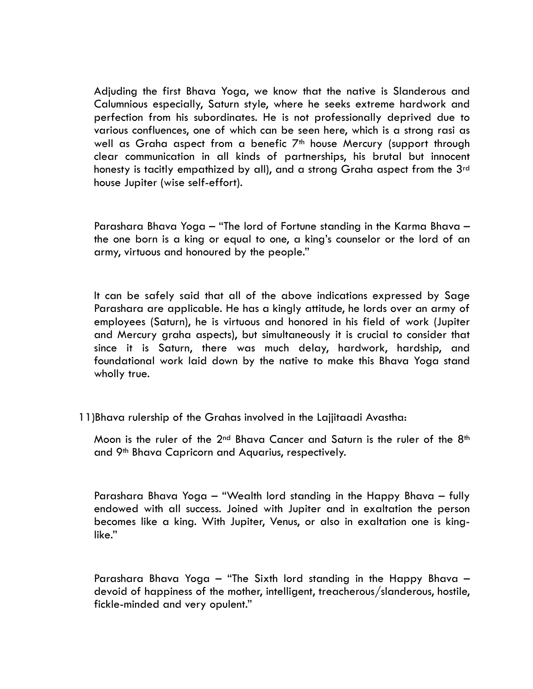Adjuding the first Bhava Yoga, we know that the native is Slanderous and Calumnious especially, Saturn style, where he seeks extreme hardwork and perfection from his subordinates. He is not professionally deprived due to various confluences, one of which can be seen here, which is a strong rasi as well as Graha aspect from a benefic  $7<sup>th</sup>$  house Mercury (support through clear communication in all kinds of partnerships, his brutal but innocent honesty is tacitly empathized by all), and a strong Graha aspect from the 3<sup>rd</sup> house Jupiter (wise self-effort).

Parashara Bhava Yoga – "The lord of Fortune standing in the Karma Bhava – the one born is a king or equal to one, a king's counselor or the lord of an army, virtuous and honoured by the people."

It can be safely said that all of the above indications expressed by Sage Parashara are applicable. He has a kingly attitude, he lords over an army of employees (Saturn), he is virtuous and honored in his field of work (Jupiter and Mercury graha aspects), but simultaneously it is crucial to consider that since it is Saturn, there was much delay, hardwork, hardship, and foundational work laid down by the native to make this Bhava Yoga stand wholly true.

11)Bhava rulership of the Grahas involved in the Lajjitaadi Avastha:

Moon is the ruler of the 2<sup>nd</sup> Bhava Cancer and Saturn is the ruler of the 8<sup>th</sup> and 9th Bhava Capricorn and Aquarius, respectively.

Parashara Bhava Yoga – "Wealth lord standing in the Happy Bhava – fully endowed with all success. Joined with Jupiter and in exaltation the person becomes like a king. With Jupiter, Venus, or also in exaltation one is kinglike."

Parashara Bhava Yoga – "The Sixth lord standing in the Happy Bhava – devoid of happiness of the mother, intelligent, treacherous/slanderous, hostile, fickle-minded and very opulent."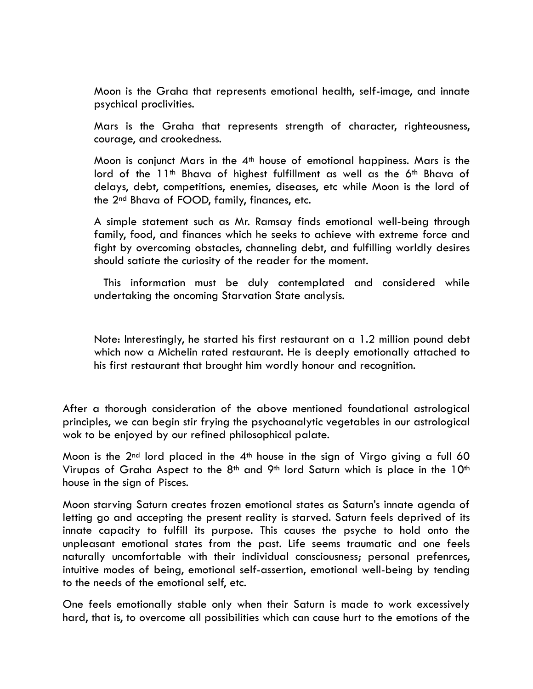Moon is the Graha that represents emotional health, self-image, and innate psychical proclivities.

Mars is the Graha that represents strength of character, righteousness, courage, and crookedness.

Moon is conjunct Mars in the  $4<sup>th</sup>$  house of emotional happiness. Mars is the lord of the 11<sup>th</sup> Bhava of highest fulfillment as well as the 6<sup>th</sup> Bhava of delays, debt, competitions, enemies, diseases, etc while Moon is the lord of the 2nd Bhava of FOOD, family, finances, etc.

A simple statement such as Mr. Ramsay finds emotional well-being through family, food, and finances which he seeks to achieve with extreme force and fight by overcoming obstacles, channeling debt, and fulfilling worldly desires should satiate the curiosity of the reader for the moment.

 This information must be duly contemplated and considered while undertaking the oncoming Starvation State analysis.

Note: Interestingly, he started his first restaurant on a 1.2 million pound debt which now a Michelin rated restaurant. He is deeply emotionally attached to his first restaurant that brought him wordly honour and recognition.

After a thorough consideration of the above mentioned foundational astrological principles, we can begin stir frying the psychoanalytic vegetables in our astrological wok to be enjoyed by our refined philosophical palate.

Moon is the  $2^{nd}$  lord placed in the  $4^{th}$  house in the sign of Virgo giving a full 60 Virupas of Graha Aspect to the  $8<sup>th</sup>$  and  $9<sup>th</sup>$  lord Saturn which is place in the 10<sup>th</sup> house in the sign of Pisces.

Moon starving Saturn creates frozen emotional states as Saturn's innate agenda of letting go and accepting the present reality is starved. Saturn feels deprived of its innate capacity to fulfill its purpose. This causes the psyche to hold onto the unpleasant emotional states from the past. Life seems traumatic and one feels naturally uncomfortable with their individual consciousness; personal prefenrces, intuitive modes of being, emotional self-assertion, emotional well-being by tending to the needs of the emotional self, etc.

One feels emotionally stable only when their Saturn is made to work excessively hard, that is, to overcome all possibilities which can cause hurt to the emotions of the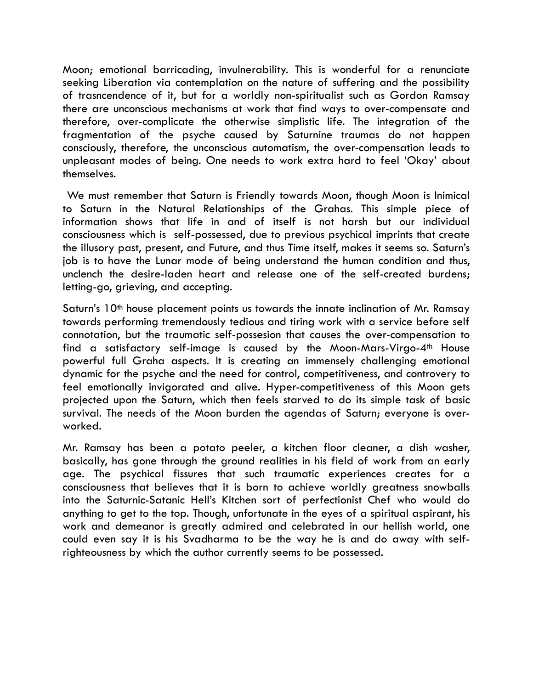Moon; emotional barricading, invulnerability. This is wonderful for a renunciate seeking Liberation via contemplation on the nature of suffering and the possibility of trasncendence of it, but for a worldly non-spiritualist such as Gordon Ramsay there are unconscious mechanisms at work that find ways to over-compensate and therefore, over-complicate the otherwise simplistic life. The integration of the fragmentation of the psyche caused by Saturnine traumas do not happen consciously, therefore, the unconscious automatism, the over-compensation leads to unpleasant modes of being. One needs to work extra hard to feel 'Okay' about themselves.

 We must remember that Saturn is Friendly towards Moon, though Moon is Inimical to Saturn in the Natural Relationships of the Grahas. This simple piece of information shows that life in and of itself is not harsh but our individual consciousness which is self-possessed, due to previous psychical imprints that create the illusory past, present, and Future, and thus Time itself, makes it seems so. Saturn's job is to have the Lunar mode of being understand the human condition and thus, unclench the desire-laden heart and release one of the self-created burdens; letting-go, grieving, and accepting.

Saturn's 10<sup>th</sup> house placement points us towards the innate inclination of Mr. Ramsay towards performing tremendously tedious and tiring work with a service before self connotation, but the traumatic self-possesion that causes the over-compensation to find a satisfactory self-image is caused by the Moon-Mars-Virgo-4th House powerful full Graha aspects. It is creating an immensely challenging emotional dynamic for the psyche and the need for control, competitiveness, and controvery to feel emotionally invigorated and alive. Hyper-competitiveness of this Moon gets projected upon the Saturn, which then feels starved to do its simple task of basic survival. The needs of the Moon burden the agendas of Saturn; everyone is overworked.

Mr. Ramsay has been a potato peeler, a kitchen floor cleaner, a dish washer, basically, has gone through the ground realities in his field of work from an early age. The psychical fissures that such traumatic experiences creates for a consciousness that believes that it is born to achieve worldly greatness snowballs into the Saturnic-Satanic Hell's Kitchen sort of perfectionist Chef who would do anything to get to the top. Though, unfortunate in the eyes of a spiritual aspirant, his work and demeanor is greatly admired and celebrated in our hellish world, one could even say it is his Svadharma to be the way he is and do away with selfrighteousness by which the author currently seems to be possessed.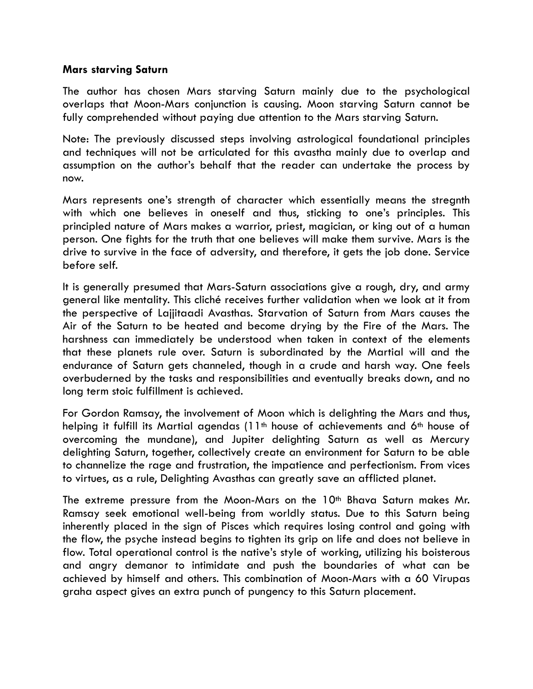### **Mars starving Saturn**

The author has chosen Mars starving Saturn mainly due to the psychological overlaps that Moon-Mars conjunction is causing. Moon starving Saturn cannot be fully comprehended without paying due attention to the Mars starving Saturn.

Note: The previously discussed steps involving astrological foundational principles and techniques will not be articulated for this avastha mainly due to overlap and assumption on the author's behalf that the reader can undertake the process by now.

Mars represents one's strength of character which essentially means the stregnth with which one believes in oneself and thus, sticking to one's principles. This principled nature of Mars makes a warrior, priest, magician, or king out of a human person. One fights for the truth that one believes will make them survive. Mars is the drive to survive in the face of adversity, and therefore, it gets the job done. Service before self.

It is generally presumed that Mars-Saturn associations give a rough, dry, and army general like mentality. This cliché receives further validation when we look at it from the perspective of Lajjitaadi Avasthas. Starvation of Saturn from Mars causes the Air of the Saturn to be heated and become drying by the Fire of the Mars. The harshness can immediately be understood when taken in context of the elements that these planets rule over. Saturn is subordinated by the Martial will and the endurance of Saturn gets channeled, though in a crude and harsh way. One feels overbuderned by the tasks and responsibilities and eventually breaks down, and no long term stoic fulfillment is achieved.

For Gordon Ramsay, the involvement of Moon which is delighting the Mars and thus, helping it fulfill its Martial agendas (11th house of achievements and 6th house of overcoming the mundane), and Jupiter delighting Saturn as well as Mercury delighting Saturn, together, collectively create an environment for Saturn to be able to channelize the rage and frustration, the impatience and perfectionism. From vices to virtues, as a rule, Delighting Avasthas can greatly save an afflicted planet.

The extreme pressure from the Moon-Mars on the 10<sup>th</sup> Bhava Saturn makes Mr. Ramsay seek emotional well-being from worldly status. Due to this Saturn being inherently placed in the sign of Pisces which requires losing control and going with the flow, the psyche instead begins to tighten its grip on life and does not believe in flow. Total operational control is the native's style of working, utilizing his boisterous and angry demanor to intimidate and push the boundaries of what can be achieved by himself and others. This combination of Moon-Mars with a 60 Virupas graha aspect gives an extra punch of pungency to this Saturn placement.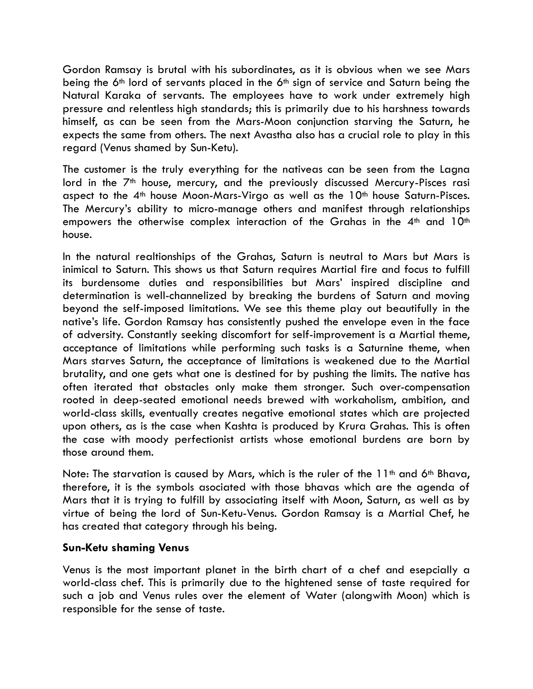Gordon Ramsay is brutal with his subordinates, as it is obvious when we see Mars being the 6th lord of servants placed in the 6th sign of service and Saturn being the Natural Karaka of servants. The employees have to work under extremely high pressure and relentless high standards; this is primarily due to his harshness towards himself, as can be seen from the Mars-Moon conjunction starving the Saturn, he expects the same from others. The next Avastha also has a crucial role to play in this regard (Venus shamed by Sun-Ketu).

The customer is the truly everything for the nativeas can be seen from the Lagna lord in the 7<sup>th</sup> house, mercury, and the previously discussed Mercury-Pisces rasi aspect to the 4<sup>th</sup> house Moon-Mars-Virgo as well as the 10<sup>th</sup> house Saturn-Pisces. The Mercury's ability to micro-manage others and manifest through relationships empowers the otherwise complex interaction of the Grahas in the  $4<sup>th</sup>$  and  $10<sup>th</sup>$ house.

In the natural realtionships of the Grahas, Saturn is neutral to Mars but Mars is inimical to Saturn. This shows us that Saturn requires Martial fire and focus to fulfill its burdensome duties and responsibilities but Mars' inspired discipline and determination is well-channelized by breaking the burdens of Saturn and moving beyond the self-imposed limitations. We see this theme play out beautifully in the native's life. Gordon Ramsay has consistently pushed the envelope even in the face of adversity. Constantly seeking discomfort for self-improvement is a Martial theme, acceptance of limitations while performing such tasks is a Saturnine theme, when Mars starves Saturn, the acceptance of limitations is weakened due to the Martial brutality, and one gets what one is destined for by pushing the limits. The native has often iterated that obstacles only make them stronger. Such over-compensation rooted in deep-seated emotional needs brewed with workaholism, ambition, and world-class skills, eventually creates negative emotional states which are projected upon others, as is the case when Kashta is produced by Krura Grahas. This is often the case with moody perfectionist artists whose emotional burdens are born by those around them.

Note: The starvation is caused by Mars, which is the ruler of the  $11<sup>th</sup>$  and 6<sup>th</sup> Bhava, therefore, it is the symbols asociated with those bhavas which are the agenda of Mars that it is trying to fulfill by associating itself with Moon, Saturn, as well as by virtue of being the lord of Sun-Ketu-Venus. Gordon Ramsay is a Martial Chef, he has created that category through his being.

# **Sun-Ketu shaming Venus**

Venus is the most important planet in the birth chart of a chef and esepcially a world-class chef. This is primarily due to the hightened sense of taste required for such a job and Venus rules over the element of Water (alongwith Moon) which is responsible for the sense of taste.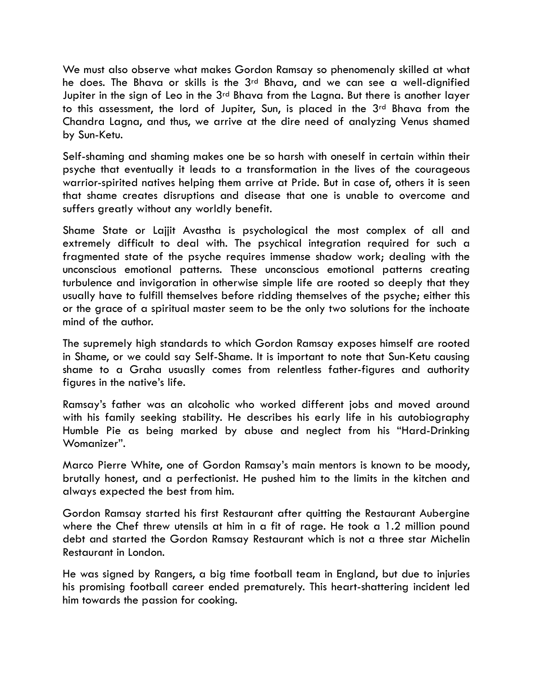We must also observe what makes Gordon Ramsay so phenomenaly skilled at what he does. The Bhava or skills is the 3rd Bhava, and we can see a well-dignified Jupiter in the sign of Leo in the 3<sup>rd</sup> Bhava from the Lagna. But there is another layer to this assessment, the lord of Jupiter, Sun, is placed in the 3rd Bhava from the Chandra Lagna, and thus, we arrive at the dire need of analyzing Venus shamed by Sun-Ketu.

Self-shaming and shaming makes one be so harsh with oneself in certain within their psyche that eventually it leads to a transformation in the lives of the courageous warrior-spirited natives helping them arrive at Pride. But in case of, others it is seen that shame creates disruptions and disease that one is unable to overcome and suffers greatly without any worldly benefit.

Shame State or Lajjit Avastha is psychological the most complex of all and extremely difficult to deal with. The psychical integration required for such a fragmented state of the psyche requires immense shadow work; dealing with the unconscious emotional patterns. These unconscious emotional patterns creating turbulence and invigoration in otherwise simple life are rooted so deeply that they usually have to fulfill themselves before ridding themselves of the psyche; either this or the grace of a spiritual master seem to be the only two solutions for the inchoate mind of the author.

The supremely high standards to which Gordon Ramsay exposes himself are rooted in Shame, or we could say Self-Shame. It is important to note that Sun-Ketu causing shame to a Graha usuaslly comes from relentless father-figures and authority figures in the native's life.

Ramsay's father was an alcoholic who worked different jobs and moved around with his family seeking stability. He describes his early life in his autobiography Humble Pie as being marked by abuse and neglect from his "Hard-Drinking Womanizer".

Marco Pierre White, one of Gordon Ramsay's main mentors is known to be moody, brutally honest, and a perfectionist. He pushed him to the limits in the kitchen and always expected the best from him.

Gordon Ramsay started his first Restaurant after quitting the Restaurant Aubergine where the Chef threw utensils at him in a fit of rage. He took a 1.2 million pound debt and started the Gordon Ramsay Restaurant which is not a three star Michelin Restaurant in London.

He was signed by Rangers, a big time football team in England, but due to injuries his promising football career ended prematurely. This heart-shattering incident led him towards the passion for cooking.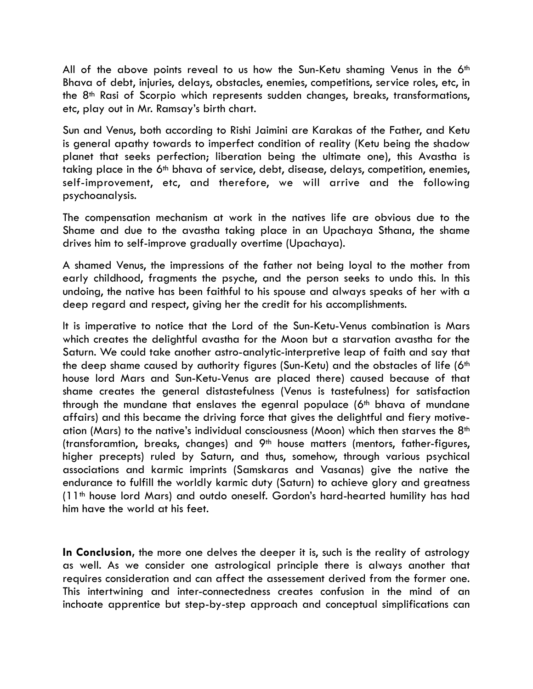All of the above points reveal to us how the Sun-Ketu shaming Venus in the 6<sup>th</sup> Bhava of debt, injuries, delays, obstacles, enemies, competitions, service roles, etc, in the 8th Rasi of Scorpio which represents sudden changes, breaks, transformations, etc, play out in Mr. Ramsay's birth chart.

Sun and Venus, both according to Rishi Jaimini are Karakas of the Father, and Ketu is general apathy towards to imperfect condition of reality (Ketu being the shadow planet that seeks perfection; liberation being the ultimate one), this Avastha is taking place in the 6th bhava of service, debt, disease, delays, competition, enemies, self-improvement, etc, and therefore, we will arrive and the following psychoanalysis.

The compensation mechanism at work in the natives life are obvious due to the Shame and due to the avastha taking place in an Upachaya Sthana, the shame drives him to self-improve gradually overtime (Upachaya).

A shamed Venus, the impressions of the father not being loyal to the mother from early childhood, fragments the psyche, and the person seeks to undo this. In this undoing, the native has been faithful to his spouse and always speaks of her with a deep regard and respect, giving her the credit for his accomplishments.

It is imperative to notice that the Lord of the Sun-Ketu-Venus combination is Mars which creates the delightful avastha for the Moon but a starvation avastha for the Saturn. We could take another astro-analytic-interpretive leap of faith and say that the deep shame caused by authority figures (Sun-Ketu) and the obstacles of life (6<sup>th</sup>) house lord Mars and Sun-Ketu-Venus are placed there) caused because of that shame creates the general distastefulness (Venus is tastefulness) for satisfaction through the mundane that enslaves the egenral populace  $(6<sup>th</sup>$  bhava of mundane affairs) and this became the driving force that gives the delightful and fiery motiveation (Mars) to the native's individual consciousness (Moon) which then starves the 8th (transforamtion, breaks, changes) and 9th house matters (mentors, father-figures, higher precepts) ruled by Saturn, and thus, somehow, through various psychical associations and karmic imprints (Samskaras and Vasanas) give the native the endurance to fulfill the worldly karmic duty (Saturn) to achieve glory and greatness (11th house lord Mars) and outdo oneself. Gordon's hard-hearted humility has had him have the world at his feet.

**In Conclusion,** the more one delves the deeper it is, such is the reality of astrology as well. As we consider one astrological principle there is always another that requires consideration and can affect the assessement derived from the former one. This intertwining and inter-connectedness creates confusion in the mind of an inchoate apprentice but step-by-step approach and conceptual simplifications can